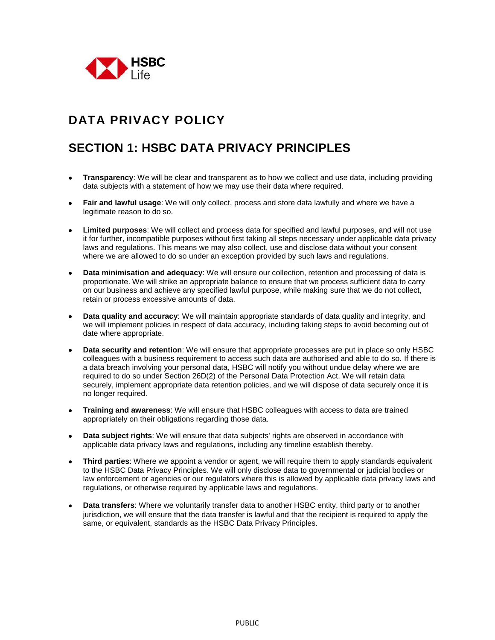

# **DATA PRIVACY POLICY**

# **SECTION 1: HSBC DATA PRIVACY PRINCIPLES**

- **Transparency**: We will be clear and transparent as to how we collect and use data, including providing data subjects with a statement of how we may use their data where required.
- **Fair and lawful usage**: We will only collect, process and store data lawfully and where we have a legitimate reason to do so.
- **Limited purposes**: We will collect and process data for specified and lawful purposes, and will not use it for further, incompatible purposes without first taking all steps necessary under applicable data privacy laws and regulations. This means we may also collect, use and disclose data without your consent where we are allowed to do so under an exception provided by such laws and regulations.
- **Data minimisation and adequacy**: We will ensure our collection, retention and processing of data is proportionate. We will strike an appropriate balance to ensure that we process sufficient data to carry on our business and achieve any specified lawful purpose, while making sure that we do not collect, retain or process excessive amounts of data.
- **Data quality and accuracy**: We will maintain appropriate standards of data quality and integrity, and we will implement policies in respect of data accuracy, including taking steps to avoid becoming out of date where appropriate.
- **Data security and retention**: We will ensure that appropriate processes are put in place so only HSBC colleagues with a business requirement to access such data are authorised and able to do so. If there is a data breach involving your personal data, HSBC will notify you without undue delay where we are required to do so under Section 26D(2) of the Personal Data Protection Act. We will retain data securely, implement appropriate data retention policies, and we will dispose of data securely once it is no longer required.
- **Training and awareness**: We will ensure that HSBC colleagues with access to data are trained appropriately on their obligations regarding those data.
- **Data subject rights**: We will ensure that data subjects' rights are observed in accordance with applicable data privacy laws and regulations, including any timeline establish thereby.
- **Third parties**: Where we appoint a vendor or agent, we will require them to apply standards equivalent to the HSBC Data Privacy Principles. We will only disclose data to governmental or judicial bodies or law enforcement or agencies or our regulators where this is allowed by applicable data privacy laws and regulations, or otherwise required by applicable laws and regulations.
- **Data transfers**: Where we voluntarily transfer data to another HSBC entity, third party or to another jurisdiction, we will ensure that the data transfer is lawful and that the recipient is required to apply the same, or equivalent, standards as the HSBC Data Privacy Principles.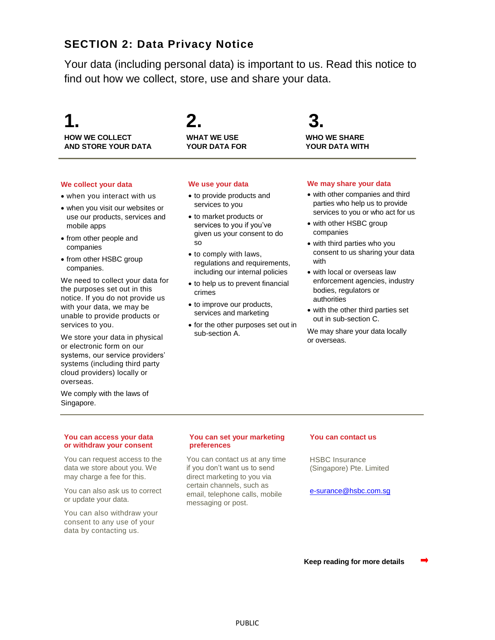# **SECTION 2: Data Privacy Notice**

Your data (including personal data) is important to us. Read this notice to find out how we collect, store, use and share your data.

# **1. 2. 3. HOW WE COLLECT WHAT WE USE WHO WE SHARE AND STORE YOUR DATA YOUR DATA FOR YOUR DATA WITH**

# **We collect your data**

- when you interact with us
- when you visit our websites or use our products, services and mobile apps
- from other people and companies
- from other HSBC group companies.

We need to collect your data for the purposes set out in this notice. If you do not provide us with your data, we may be unable to provide products or services to you.

We store your data in physical or electronic form on our systems, our service providers' systems (including third party cloud providers) locally or overseas.

We comply with the laws of Singapore.

# **We use your data**

- to provide products and services to you
- to market products or services to you if you've given us your consent to do so
- to comply with laws, regulations and requirements, including our internal policies
- to help us to prevent financial crimes
- to improve our products, services and marketing
- for the other purposes set out in sub-section A.

## **We may share your data**

- with other companies and third parties who help us to provide services to you or who act for us
- with other HSBC group companies
- with third parties who you consent to us sharing your data with
- with local or overseas law enforcement agencies, industry bodies, regulators or authorities
- with the other third parties set out in sub-section C.

We may share your data locally or overseas.

## **You can access your data or withdraw your consent**

You can request access to the data we store about you. We may charge a fee for this.

You can also ask us to correct or update your data.

You can also withdraw your consent to any use of your data by contacting us.

## **You can set your marketing preferences**

You can contact us at any time if you don't want us to send direct marketing to you via certain channels, such as email, telephone calls, mobile messaging or post.

## **You can contact us**

HSBC Insurance (Singapore) Pte. Limited

[e-surance@hsbc.com.sg](mailto:e-surance@hsbc.com.sg)

**Keep reading for more details**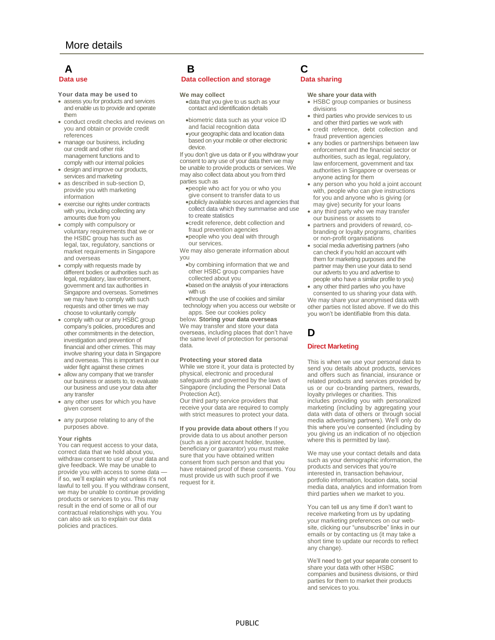- **Your data may be used to**
- assess you for products and services and enable us to provide and operate them
- conduct credit checks and reviews on you and obtain or provide credit references
- manage our business, including our credit and other risk management functions and to comply with our internal policies
- design and improve our products, services and marketing
- as described in sub-section D, provide you with marketing information
- exercise our rights under contracts with you, including collecting any amounts due from you
- comply with compulsory or voluntary requirements that we or the HSBC group has such as legal, tax, regulatory, sanctions or market requirements in Singapore and overseas
- comply with requests made by different bodies or authorities such as legal, regulatory, law enforcement, government and tax authorities in Singapore and overseas. Sometimes we may have to comply with such requests and other times we may choose to voluntarily comply
- comply with our or any HSBC group company's policies, procedures and other commitments in the detection, investigation and prevention of financial and other crimes. This may involve sharing your data in Singapore and overseas. This is important in our wider fight against these crimes
- allow any company that we transfer our business or assets to, to evaluate our business and use your data after any transfer
- any other uses for which you have given consent
- any purpose relating to any of the purposes above.

### **Your rights**

You can request access to your data, correct data that we hold about you, withdraw consent to use of your data and give feedback. We may be unable to provide you with access to some data if so, we'll explain why not unless it's not lawful to tell you. If you withdraw consent, we may be unable to continue providing products or services to you. This may result in the end of some or all of our contractual relationships with you. You can also ask us to explain our data policies and practices.

# **A B C**

## **Data use Data collection and storage Data sharing**

## **We may collect**

- data that you give to us such as your contact and identification details
- biometric data such as your voice ID and facial recognition data
- your geographic data and location data based on your mobile or other electronic device.

If you don't give us data or if you withdraw your consent to any use of your data then we may be unable to provide products or services. We may also collect data about you from third parties such as

- people who act for you or who you give consent to transfer data to us
- publicly available sources and agencies that collect data which they summarise and use to create statistics
- credit reference, debt collection and fraud prevention agencies
- people who you deal with through our services.
- We may also generate information about you
	- by combining information that we and other HSBC group companies have collected about you
	- based on the analysis of your interactions with us
- through the use of cookies and similar technology when you access our website or apps. See our cookies policy

below. **Storing your data overseas** We may transfer and store your data overseas, including places that don't have the same level of protection for personal data.

### **Protecting your stored data**

While we store it, your data is protected by physical, electronic and procedural safeguards and governed by the laws of Singapore (including the Personal Data Protection Act).

Our third party service providers that receive your data are required to comply with strict measures to protect your data.

**If you provide data about others** If you provide data to us about another person (such as a joint account holder, trustee, beneficiary or guarantor) you must make sure that you have obtained written consent from such person and that you have retained proof of these consents. You must provide us with such proof if we request for it.

### **We share your data with**

- HSBC group companies or business divisions
- third parties who provide services to us and other third parties we work with
- credit reference, debt collection and fraud prevention agencies
- any bodies or partnerships between law enforcement and the financial sector or authorities, such as legal, regulatory, law enforcement, government and tax authorities in Singapore or overseas or anyone acting for them
- any person who you hold a joint account with, people who can give instructions for you and anyone who is giving (or may give) security for your loans
- any third party who we may transfer our business or assets to
- partners and providers of reward, cobranding or loyalty programs, charities or non-profit organisations
- social media advertising partners (who can check if you hold an account with them for marketing purposes and the partner may then use your data to send our adverts to you and advertise to people who have a similar profile to you)
- any other third parties who you have

consented to us sharing your data with. We may share your anonymised data with other parties not listed above. If we do this you won't be identifiable from this data.

# **D**

## **Direct Marketing**

This is when we use your personal data to send you details about products, services and offers such as financial, insurance or related products and services provided by us or our co-branding partners, rewards, loyalty privileges or charities. This includes providing you with personalized marketing (including by aggregating your

data with data of others or through social media advertising partners). We'll only do this where you've consented (including by you giving us an indication of no objection where this is permitted by law).

We may use your contact details and data such as your demographic information, the products and services that you're interested in, transaction behaviour, portfolio information, location data, social media data, analytics and information from third parties when we market to you.

You can tell us any time if don't want to receive marketing from us by updating your marketing preferences on our website, clicking our "unsubscribe" links in our emails or by contacting us (it may take a short time to update our records to reflect any change).

We'll need to get your separate consent to share your data with other HSBC companies and business divisions, or third parties for them to market their products and services to you.